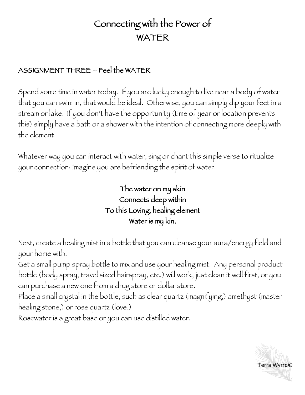## Connecting with the Power of WATER

## ASSIGNMENT THREE – Feel the WATER

Spend some time in water today. If you are lucky enough to live near a body of water that you can swim in, that would be ideal. Otherwise, you can simply dip your feet in a stream or lake. If you don't have the opportunity (time of year or location prevents this) simply have a bath or a shower with the intention of connecting more deeply with the element.

Whatever way you can interact with water, sing or chant this simple verse to ritualize your connection: Imagine you are befriending the spirit of water.

## The water on my skin Connects deep within To this Loving, healing element Water is my kin.

Next, create a healing mist in a bottle that you can cleanse your aura/energy field and your home with.

Get a small pump spray bottle to mix and use your healing mist. Any personal product bottle (body spray, travel sized hairspray, etc.) will work, just clean it well first, or you can purchase a new one from a drug store or dollar store.

Place a small crystal in the bottle, such as clear quartz (magnifying,) amethyst (master healing stone,) or rose quartz (love.)

Rosewater is a great base or you can use distilled water.